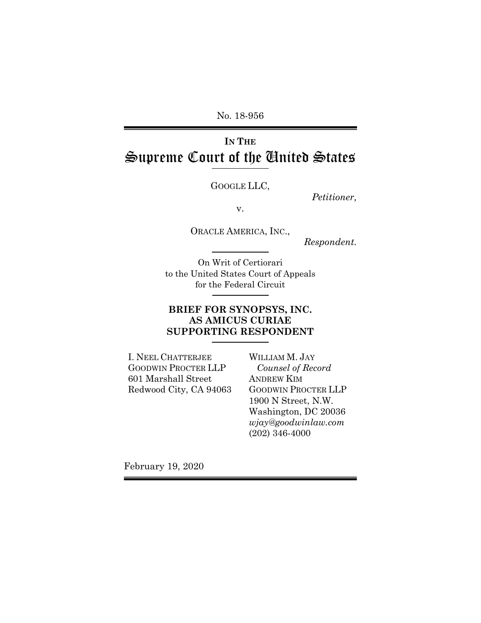No. 18-956

# **IN THE** Supreme Court of the United States

GOOGLE LLC,

*Petitioner,* 

v.

ORACLE AMERICA, INC.,

*Respondent.* 

On Writ of Certiorari to the United States Court of Appeals for the Federal Circuit

### **BRIEF FOR SYNOPSYS, INC. AS AMICUS CURIAE SUPPORTING RESPONDENT**

I. NEEL CHATTERJEE GOODWIN PROCTER LLP 601 Marshall Street Redwood City, CA 94063 WILLIAM M. JAY *Counsel of Record*  ANDREW KIM GOODWIN PROCTER LLP 1900 N Street, N.W. Washington, DC 20036 *wjay@goodwinlaw.com*  (202) 346-4000

February 19, 2020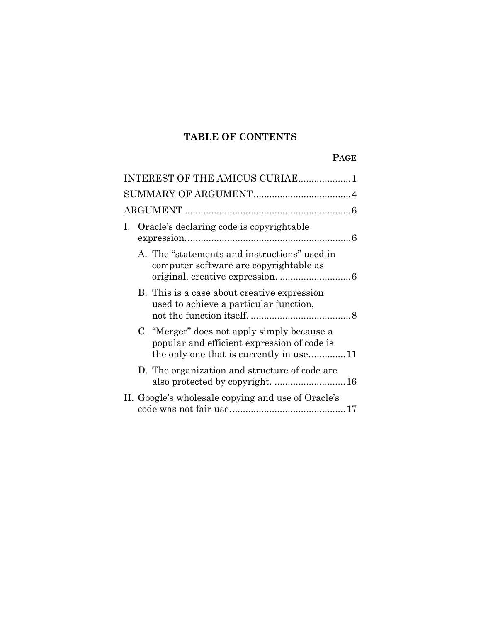# **TABLE OF CONTENTS**

# **PAGE**

|    | INTEREST OF THE AMICUS CURIAE1                                                                                                        |  |
|----|---------------------------------------------------------------------------------------------------------------------------------------|--|
|    |                                                                                                                                       |  |
|    |                                                                                                                                       |  |
| L. | Oracle's declaring code is copyrightable                                                                                              |  |
|    | A. The "statements and instructions" used in<br>computer software are copyrightable as                                                |  |
|    | B. This is a case about creative expression<br>used to achieve a particular function,                                                 |  |
|    | C. "Merger" does not apply simply because a<br>popular and efficient expression of code is<br>the only one that is currently in use11 |  |
|    | D. The organization and structure of code are                                                                                         |  |
|    | II. Google's wholesale copying and use of Oracle's                                                                                    |  |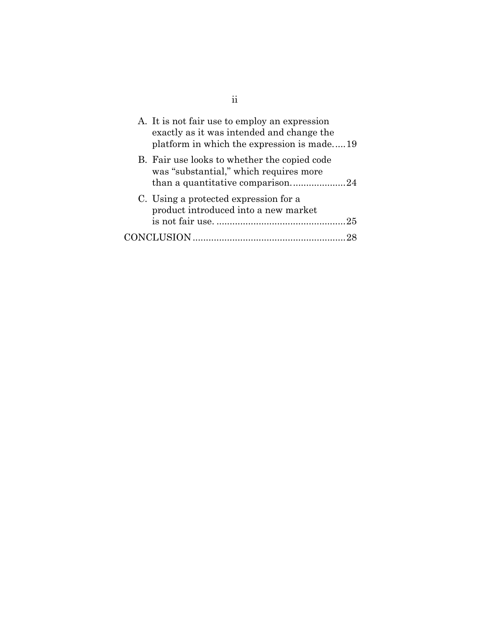| A. It is not fair use to employ an expression<br>exactly as it was intended and change the<br>platform in which the expression is made19 |
|------------------------------------------------------------------------------------------------------------------------------------------|
| B. Fair use looks to whether the copied code<br>was "substantial," which requires more                                                   |
| C. Using a protected expression for a<br>product introduced into a new market                                                            |
|                                                                                                                                          |

ii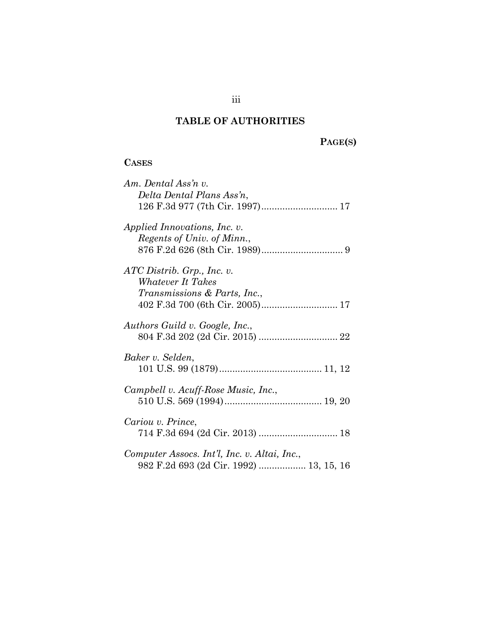# **TABLE OF AUTHORITIES**

# **PAGE(S)**

## **CASES**

| Am. Dental Ass'n v.                          |
|----------------------------------------------|
| Delta Dental Plans Ass'n,                    |
|                                              |
| Applied Innovations, Inc. v.                 |
| Regents of Univ. of Minn.,                   |
|                                              |
| $ATC$ Distrib. Grp., Inc. v.                 |
| Whatever It Takes                            |
| <i>Transmissions &amp; Parts, Inc.,</i>      |
|                                              |
| Authors Guild v. Google, Inc.,               |
|                                              |
| Baker v. Selden,                             |
|                                              |
|                                              |
| Campbell v. Acuff-Rose Music, Inc.,          |
|                                              |
| Cariou v. Prince,                            |
|                                              |
|                                              |
| Computer Assocs. Int'l, Inc. v. Altai, Inc., |
| 982 F.2d 693 (2d Cir. 1992)  13, 15, 16      |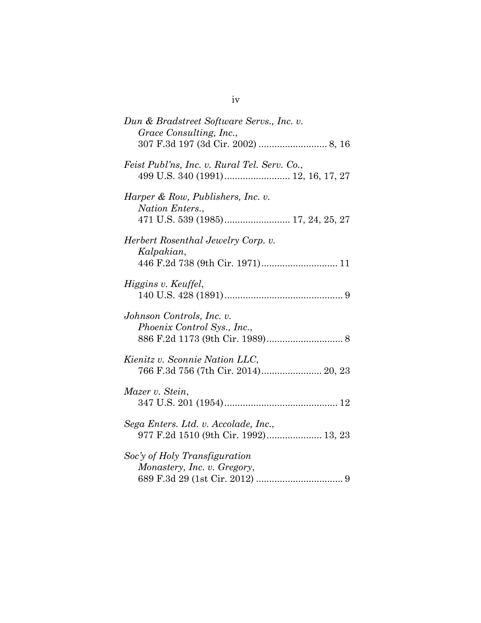| Dun & Bradstreet Software Servs., Inc. v.<br>Grace Consulting, Inc.,<br>307 F.3d 197 (3d Cir. 2002)  8, 16 |
|------------------------------------------------------------------------------------------------------------|
| Feist Publ'ns, Inc. v. Rural Tel. Serv. Co.,                                                               |
| Harper & Row, Publishers, Inc. v.<br>Nation Enters.,                                                       |
| Herbert Rosenthal Jewelry Corp. v.<br>Kalpakian,<br>446 F.2d 738 (9th Cir. 1971) 11                        |
| Higgins v. Keuffel,                                                                                        |
| Johnson Controls, Inc. v.<br>Phoenix Control Sys., Inc.,                                                   |
| Kienitz v. Sconnie Nation LLC,<br>766 F.3d 756 (7th Cir. 2014) 20, 23                                      |
| Mazer v. Stein,                                                                                            |
| Sega Enters. Ltd. v. Accolade, Inc.,<br>977 F.2d 1510 (9th Cir. 1992) 13, 23                               |
| Soc'y of Holy Transfiguration<br>Monastery, Inc. v. Gregory,                                               |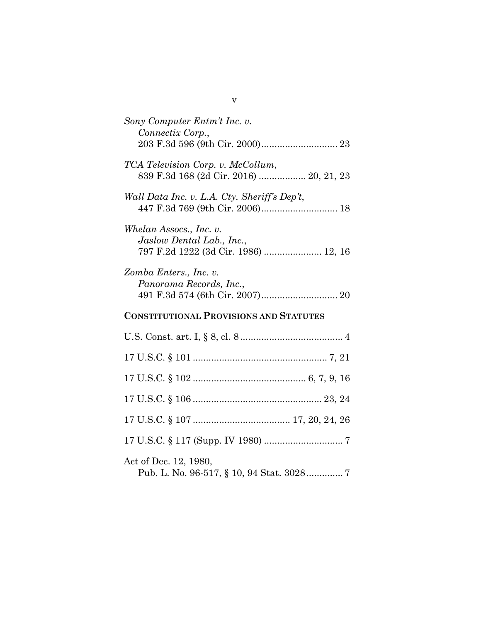| Sony Computer Entm't Inc. v.<br>Connectix Corp.,                                             |
|----------------------------------------------------------------------------------------------|
|                                                                                              |
| TCA Television Corp. v. McCollum,<br>839 F.3d 168 (2d Cir. 2016)  20, 21, 23                 |
| Wall Data Inc. v. L.A. Cty. Sheriff's Dep't,                                                 |
| Whelan Assocs., Inc. v.<br>Jaslow Dental Lab., Inc.,<br>797 F.2d 1222 (3d Cir. 1986)  12, 16 |
| Zomba Enters., Inc. v.<br>Panorama Records, Inc.,                                            |
| <b>CONSTITUTIONAL PROVISIONS AND STATUTES</b>                                                |
|                                                                                              |
|                                                                                              |
|                                                                                              |
|                                                                                              |
|                                                                                              |
|                                                                                              |
| Act of Dec. 12, 1980,                                                                        |

v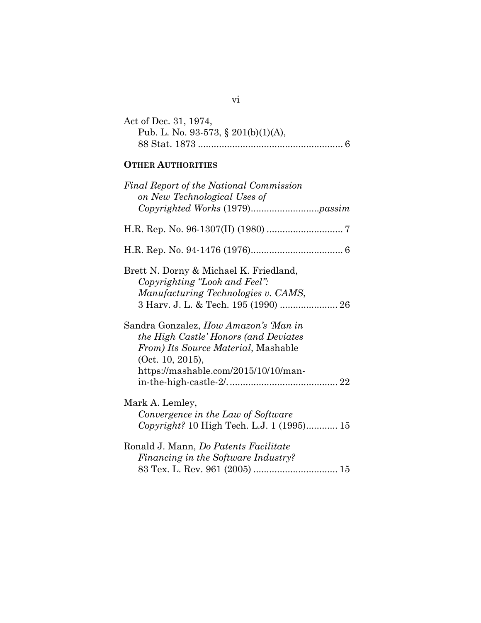| Act of Dec. 31, 1974,               |
|-------------------------------------|
| Pub. L. No. 93-573, § 201(b)(1)(A), |
|                                     |

# **OTHER AUTHORITIES**

| Final Report of the National Commission<br>on New Technological Uses of                                                                                                           |
|-----------------------------------------------------------------------------------------------------------------------------------------------------------------------------------|
|                                                                                                                                                                                   |
|                                                                                                                                                                                   |
| Brett N. Dorny & Michael K. Friedland,<br>Copyrighting "Look and Feel":<br>Manufacturing Technologies v. CAMS,<br>3 Harv. J. L. & Tech. 195 (1990)  26                            |
| Sandra Gonzalez, How Amazon's 'Man in<br>the High Castle' Honors (and Deviates<br>From) Its Source Material, Mashable<br>(0ct. 10, 2015),<br>https://mashable.com/2015/10/10/man- |
| Mark A. Lemley,<br>Convergence in the Law of Software<br>Copyright? 10 High Tech. L.J. 1 (1995) 15                                                                                |
| Ronald J. Mann, Do Patents Facilitate<br>Financing in the Software Industry?                                                                                                      |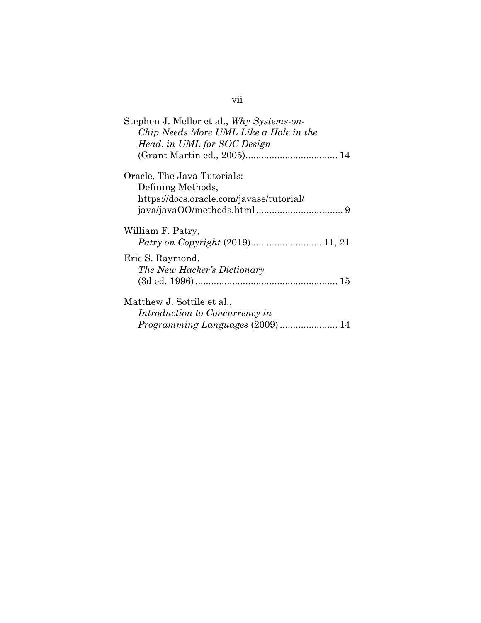| Stephen J. Mellor et al., Why Systems-on-        |
|--------------------------------------------------|
| Chip Needs More UML Like a Hole in the           |
| Head, in UML for SOC Design                      |
|                                                  |
| Oracle, The Java Tutorials:<br>Defining Methods, |
| https://docs.oracle.com/javase/tutorial/         |
|                                                  |
| William F. Patry,                                |
| Eric S. Raymond,                                 |
| The New Hacker's Dictionary                      |
|                                                  |
| Matthew J. Sottile et al.,                       |
| Introduction to Concurrency in                   |
|                                                  |

# vii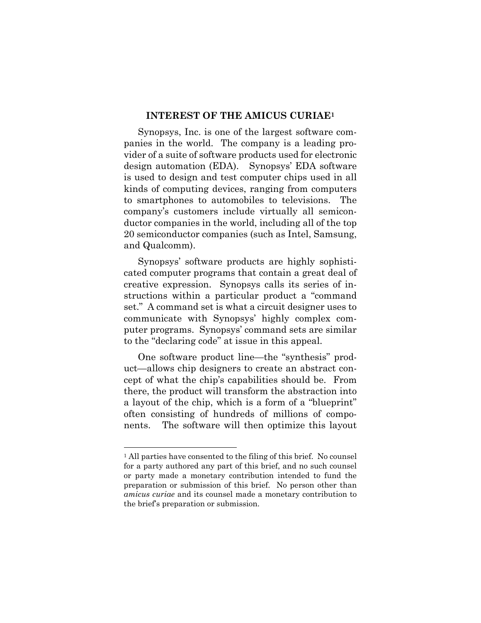#### **INTEREST OF THE AMICUS CURIAE1**

Synopsys, Inc. is one of the largest software companies in the world. The company is a leading provider of a suite of software products used for electronic design automation (EDA). Synopsys' EDA software is used to design and test computer chips used in all kinds of computing devices, ranging from computers to smartphones to automobiles to televisions. The company's customers include virtually all semiconductor companies in the world, including all of the top 20 semiconductor companies (such as Intel, Samsung, and Qualcomm).

Synopsys' software products are highly sophisticated computer programs that contain a great deal of creative expression. Synopsys calls its series of instructions within a particular product a "command set." A command set is what a circuit designer uses to communicate with Synopsys' highly complex computer programs. Synopsys' command sets are similar to the "declaring code" at issue in this appeal.

One software product line—the "synthesis" product—allows chip designers to create an abstract concept of what the chip's capabilities should be. From there, the product will transform the abstraction into a layout of the chip, which is a form of a "blueprint" often consisting of hundreds of millions of components. The software will then optimize this layout

 $\overline{a}$ 

<sup>&</sup>lt;sup>1</sup> All parties have consented to the filing of this brief. No counsel for a party authored any part of this brief, and no such counsel or party made a monetary contribution intended to fund the preparation or submission of this brief. No person other than *amicus curiae* and its counsel made a monetary contribution to the brief's preparation or submission.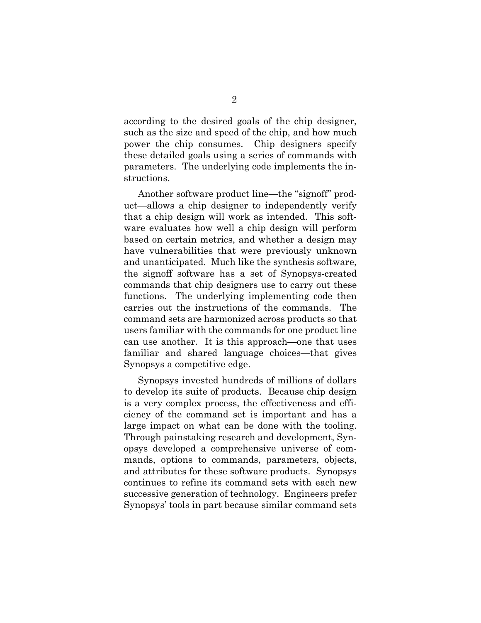according to the desired goals of the chip designer, such as the size and speed of the chip, and how much power the chip consumes. Chip designers specify these detailed goals using a series of commands with parameters. The underlying code implements the instructions.

Another software product line—the "signoff" product—allows a chip designer to independently verify that a chip design will work as intended. This software evaluates how well a chip design will perform based on certain metrics, and whether a design may have vulnerabilities that were previously unknown and unanticipated. Much like the synthesis software, the signoff software has a set of Synopsys-created commands that chip designers use to carry out these functions. The underlying implementing code then carries out the instructions of the commands. The command sets are harmonized across products so that users familiar with the commands for one product line can use another. It is this approach—one that uses familiar and shared language choices—that gives Synopsys a competitive edge.

Synopsys invested hundreds of millions of dollars to develop its suite of products. Because chip design is a very complex process, the effectiveness and efficiency of the command set is important and has a large impact on what can be done with the tooling. Through painstaking research and development, Synopsys developed a comprehensive universe of commands, options to commands, parameters, objects, and attributes for these software products. Synopsys continues to refine its command sets with each new successive generation of technology. Engineers prefer Synopsys' tools in part because similar command sets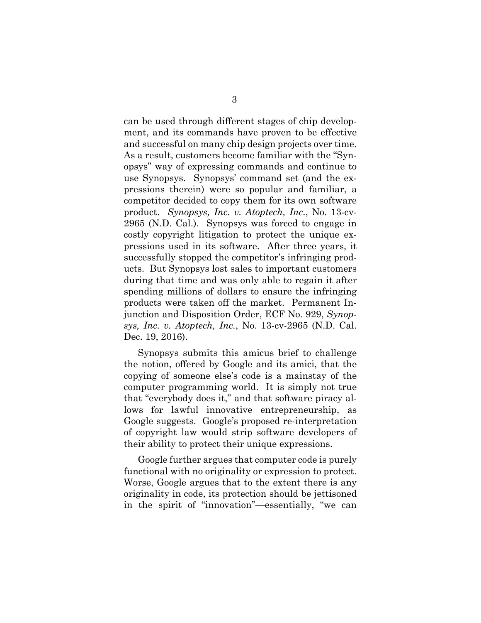can be used through different stages of chip development, and its commands have proven to be effective and successful on many chip design projects over time. As a result, customers become familiar with the "Synopsys" way of expressing commands and continue to use Synopsys. Synopsys' command set (and the expressions therein) were so popular and familiar, a competitor decided to copy them for its own software product. *Synopsys, Inc. v. Atoptech, Inc.*, No. 13-cv-2965 (N.D. Cal.). Synopsys was forced to engage in costly copyright litigation to protect the unique expressions used in its software. After three years, it successfully stopped the competitor's infringing products. But Synopsys lost sales to important customers during that time and was only able to regain it after spending millions of dollars to ensure the infringing products were taken off the market. Permanent Injunction and Disposition Order, ECF No. 929, *Synopsys, Inc. v. Atoptech, Inc.*, No. 13-cv-2965 (N.D. Cal. Dec. 19, 2016).

Synopsys submits this amicus brief to challenge the notion, offered by Google and its amici, that the copying of someone else's code is a mainstay of the computer programming world. It is simply not true that "everybody does it," and that software piracy allows for lawful innovative entrepreneurship, as Google suggests. Google's proposed re-interpretation of copyright law would strip software developers of their ability to protect their unique expressions.

Google further argues that computer code is purely functional with no originality or expression to protect. Worse, Google argues that to the extent there is any originality in code, its protection should be jettisoned in the spirit of "innovation"—essentially, "we can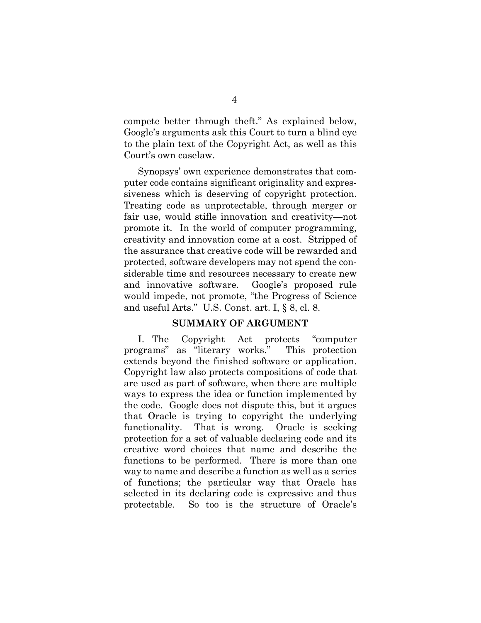compete better through theft." As explained below, Google's arguments ask this Court to turn a blind eye to the plain text of the Copyright Act, as well as this Court's own caselaw.

Synopsys' own experience demonstrates that computer code contains significant originality and expressiveness which is deserving of copyright protection. Treating code as unprotectable, through merger or fair use, would stifle innovation and creativity—not promote it. In the world of computer programming, creativity and innovation come at a cost. Stripped of the assurance that creative code will be rewarded and protected, software developers may not spend the considerable time and resources necessary to create new and innovative software. Google's proposed rule would impede, not promote, "the Progress of Science and useful Arts." U.S. Const. art. I, § 8, cl. 8.

#### **SUMMARY OF ARGUMENT**

I. The Copyright Act protects "computer programs" as "literary works." This protection extends beyond the finished software or application. Copyright law also protects compositions of code that are used as part of software, when there are multiple ways to express the idea or function implemented by the code. Google does not dispute this, but it argues that Oracle is trying to copyright the underlying functionality. That is wrong. Oracle is seeking protection for a set of valuable declaring code and its creative word choices that name and describe the functions to be performed. There is more than one way to name and describe a function as well as a series of functions; the particular way that Oracle has selected in its declaring code is expressive and thus protectable. So too is the structure of Oracle's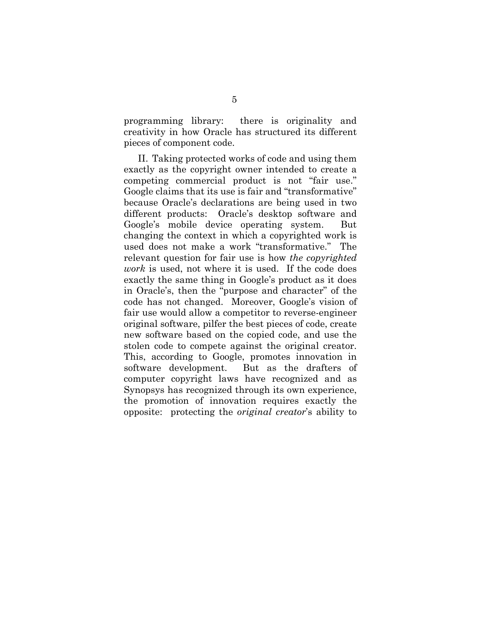programming library: there is originality and creativity in how Oracle has structured its different pieces of component code.

II. Taking protected works of code and using them exactly as the copyright owner intended to create a competing commercial product is not "fair use." Google claims that its use is fair and "transformative" because Oracle's declarations are being used in two different products: Oracle's desktop software and Google's mobile device operating system. But changing the context in which a copyrighted work is used does not make a work "transformative." The relevant question for fair use is how *the copyrighted work* is used, not where it is used. If the code does exactly the same thing in Google's product as it does in Oracle's, then the "purpose and character" of the code has not changed. Moreover, Google's vision of fair use would allow a competitor to reverse-engineer original software, pilfer the best pieces of code, create new software based on the copied code, and use the stolen code to compete against the original creator. This, according to Google, promotes innovation in software development. But as the drafters of computer copyright laws have recognized and as Synopsys has recognized through its own experience, the promotion of innovation requires exactly the opposite: protecting the *original creator*'s ability to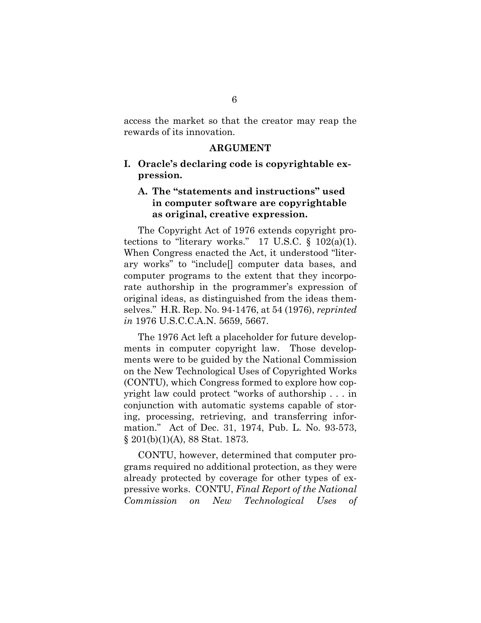access the market so that the creator may reap the rewards of its innovation.

#### **ARGUMENT**

#### **I. Oracle's declaring code is copyrightable expression.**

#### **A. The "statements and instructions" used in computer software are copyrightable as original, creative expression.**

The Copyright Act of 1976 extends copyright protections to "literary works." 17 U.S.C.  $\S$  102(a)(1). When Congress enacted the Act, it understood "literary works" to "include[] computer data bases, and computer programs to the extent that they incorporate authorship in the programmer's expression of original ideas, as distinguished from the ideas themselves." H.R. Rep. No. 94-1476, at 54 (1976), *reprinted in* 1976 U.S.C.C.A.N. 5659, 5667.

The 1976 Act left a placeholder for future developments in computer copyright law. Those developments were to be guided by the National Commission on the New Technological Uses of Copyrighted Works (CONTU), which Congress formed to explore how copyright law could protect "works of authorship . . . in conjunction with automatic systems capable of storing, processing, retrieving, and transferring information." Act of Dec. 31, 1974, Pub. L. No. 93-573, § 201(b)(1)(A), 88 Stat. 1873.

CONTU, however, determined that computer programs required no additional protection, as they were already protected by coverage for other types of expressive works. CONTU, *Final Report of the National Commission on New Technological Uses of*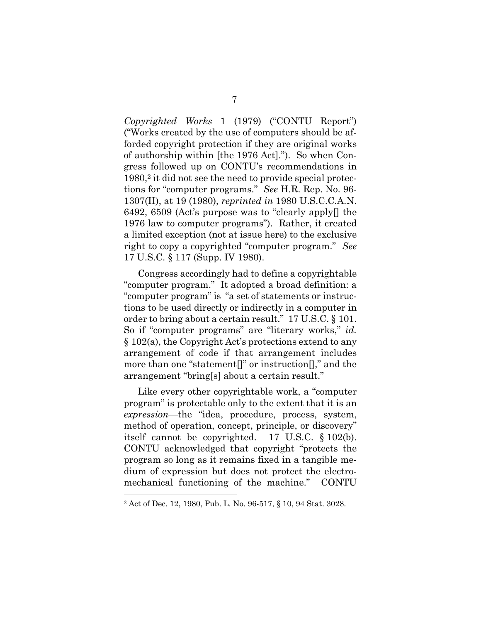*Copyrighted Works* 1 (1979) ("CONTU Report") ("Works created by the use of computers should be afforded copyright protection if they are original works of authorship within [the 1976 Act]."). So when Congress followed up on CONTU's recommendations in 1980,2 it did not see the need to provide special protections for "computer programs." *See* H.R. Rep. No. 96- 1307(II), at 19 (1980), *reprinted in* 1980 U.S.C.C.A.N. 6492, 6509 (Act's purpose was to "clearly apply[] the 1976 law to computer programs"). Rather, it created a limited exception (not at issue here) to the exclusive right to copy a copyrighted "computer program." *See*  17 U.S.C. § 117 (Supp. IV 1980).

Congress accordingly had to define a copyrightable "computer program." It adopted a broad definition: a "computer program" is "a set of statements or instructions to be used directly or indirectly in a computer in order to bring about a certain result." 17 U.S.C. § 101. So if "computer programs" are "literary works," *id.* § 102(a), the Copyright Act's protections extend to any arrangement of code if that arrangement includes more than one "statement[]" or instruction[]," and the arrangement "bring[s] about a certain result."

Like every other copyrightable work, a "computer program" is protectable only to the extent that it is an *expression*—the "idea, procedure, process, system, method of operation, concept, principle, or discovery" itself cannot be copyrighted. 17 U.S.C. § 102(b). CONTU acknowledged that copyright "protects the program so long as it remains fixed in a tangible medium of expression but does not protect the electromechanical functioning of the machine." CONTU

 $\overline{a}$ 

<sup>2</sup> Act of Dec. 12, 1980, Pub. L. No. 96-517, § 10, 94 Stat. 3028.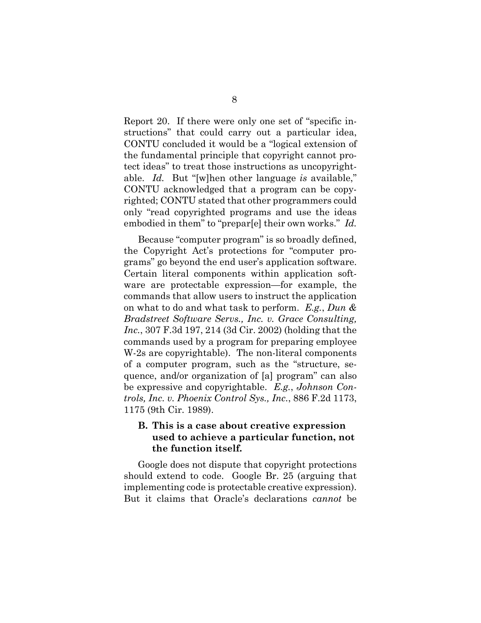Report 20. If there were only one set of "specific instructions" that could carry out a particular idea, CONTU concluded it would be a "logical extension of the fundamental principle that copyright cannot protect ideas" to treat those instructions as uncopyrightable. *Id.* But "[w]hen other language *is* available," CONTU acknowledged that a program can be copyrighted; CONTU stated that other programmers could only "read copyrighted programs and use the ideas embodied in them" to "prepar[e] their own works." *Id.*

Because "computer program" is so broadly defined, the Copyright Act's protections for "computer programs" go beyond the end user's application software. Certain literal components within application software are protectable expression—for example, the commands that allow users to instruct the application on what to do and what task to perform. *E.g.*, *Dun & Bradstreet Software Servs., Inc. v. Grace Consulting, Inc.*, 307 F.3d 197, 214 (3d Cir. 2002) (holding that the commands used by a program for preparing employee W-2s are copyrightable). The non-literal components of a computer program, such as the "structure, sequence, and/or organization of [a] program" can also be expressive and copyrightable. *E.g.*, *Johnson Controls, Inc. v. Phoenix Control Sys., Inc.*, 886 F.2d 1173, 1175 (9th Cir. 1989).

#### **B. This is a case about creative expression used to achieve a particular function, not the function itself.**

Google does not dispute that copyright protections should extend to code. Google Br. 25 (arguing that implementing code is protectable creative expression). But it claims that Oracle's declarations *cannot* be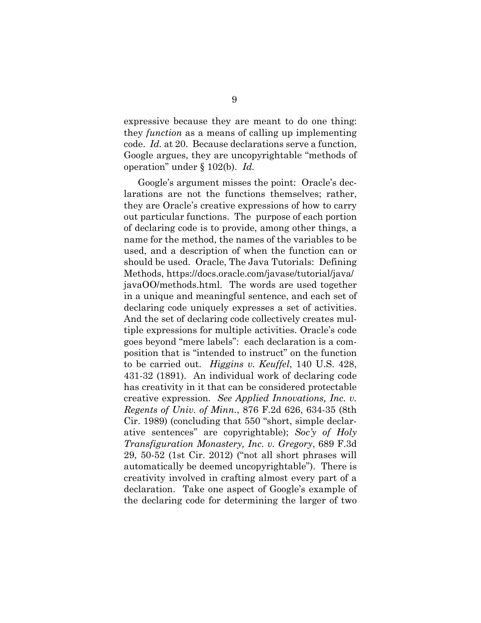expressive because they are meant to do one thing: they *function* as a means of calling up implementing code. *Id.* at 20. Because declarations serve a function, Google argues, they are uncopyrightable "methods of operation" under § 102(b). *Id.*

Google's argument misses the point: Oracle's declarations are not the functions themselves; rather, they are Oracle's creative expressions of how to carry out particular functions. The purpose of each portion of declaring code is to provide, among other things, a name for the method, the names of the variables to be used, and a description of when the function can or should be used. Oracle, The Java Tutorials: Defining Methods, https://docs.oracle.com/javase/tutorial/java/ javaOO/methods.html. The words are used together in a unique and meaningful sentence, and each set of declaring code uniquely expresses a set of activities. And the set of declaring code collectively creates multiple expressions for multiple activities. Oracle's code goes beyond "mere labels": each declaration is a composition that is "intended to instruct" on the function to be carried out. *Higgins v. Keuffel*, 140 U.S. 428, 431-32 (1891). An individual work of declaring code has creativity in it that can be considered protectable creative expression. *See Applied Innovations, Inc. v. Regents of Univ. of Minn.*, 876 F.2d 626, 634-35 (8th Cir. 1989) (concluding that 550 "short, simple declarative sentences" are copyrightable); *Soc'y of Holy Transfiguration Monastery, Inc. v. Gregory*, 689 F.3d 29, 50-52 (1st Cir. 2012) ("not all short phrases will automatically be deemed uncopyrightable"). There is creativity involved in crafting almost every part of a declaration. Take one aspect of Google's example of the declaring code for determining the larger of two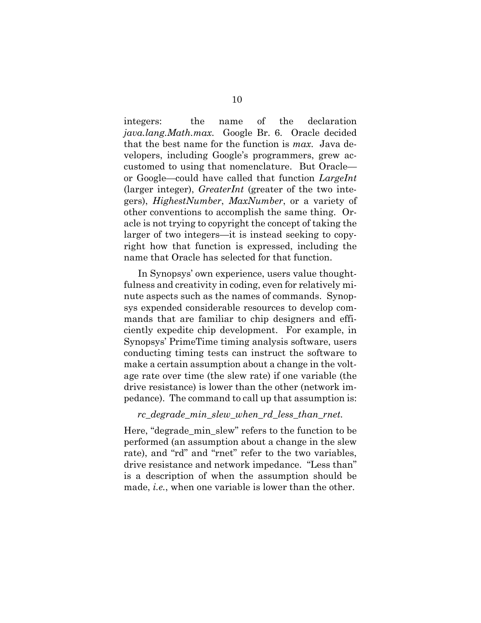integers: the name of the declaration *java.lang.Math.max*. Google Br. 6. Oracle decided that the best name for the function is *max*. Java developers, including Google's programmers, grew accustomed to using that nomenclature. But Oracle or Google—could have called that function *LargeInt* (larger integer), *GreaterInt* (greater of the two integers), *HighestNumber*, *MaxNumber*, or a variety of other conventions to accomplish the same thing. Oracle is not trying to copyright the concept of taking the larger of two integers—it is instead seeking to copyright how that function is expressed, including the name that Oracle has selected for that function.

In Synopsys' own experience, users value thoughtfulness and creativity in coding, even for relatively minute aspects such as the names of commands. Synopsys expended considerable resources to develop commands that are familiar to chip designers and efficiently expedite chip development. For example, in Synopsys' PrimeTime timing analysis software, users conducting timing tests can instruct the software to make a certain assumption about a change in the voltage rate over time (the slew rate) if one variable (the drive resistance) is lower than the other (network impedance). The command to call up that assumption is:

#### *rc\_degrade\_min\_slew\_when\_rd\_less\_than\_rnet.*

Here, "degrade\_min\_slew" refers to the function to be performed (an assumption about a change in the slew rate), and "rd" and "rnet" refer to the two variables, drive resistance and network impedance. "Less than" is a description of when the assumption should be made, *i.e.*, when one variable is lower than the other.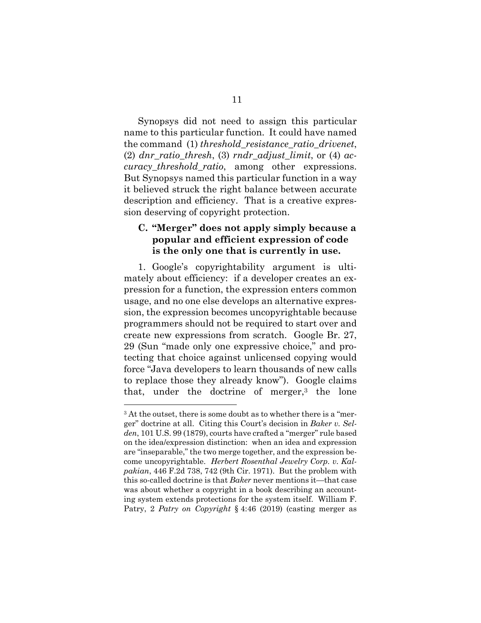Synopsys did not need to assign this particular name to this particular function. It could have named the command (1) *threshold\_resistance\_ratio\_drivenet*, (2) *dnr\_ratio\_thresh*, (3) *rndr\_adjust\_limit*, or (4) *accuracy\_threshold\_ratio*, among other expressions. But Synopsys named this particular function in a way it believed struck the right balance between accurate description and efficiency. That is a creative expression deserving of copyright protection.

### **C. "Merger" does not apply simply because a popular and efficient expression of code is the only one that is currently in use.**

1. Google's copyrightability argument is ultimately about efficiency: if a developer creates an expression for a function, the expression enters common usage, and no one else develops an alternative expression, the expression becomes uncopyrightable because programmers should not be required to start over and create new expressions from scratch. Google Br. 27, 29 (Sun "made only one expressive choice," and protecting that choice against unlicensed copying would force "Java developers to learn thousands of new calls to replace those they already know"). Google claims that, under the doctrine of merger, $3$  the lone

 $\overline{a}$ 

<sup>&</sup>lt;sup>3</sup> At the outset, there is some doubt as to whether there is a "merger" doctrine at all. Citing this Court's decision in *Baker v. Selden*, 101 U.S. 99 (1879), courts have crafted a "merger" rule based on the idea/expression distinction: when an idea and expression are "inseparable," the two merge together, and the expression become uncopyrightable. *Herbert Rosenthal Jewelry Corp. v. Kalpakian*, 446 F.2d 738, 742 (9th Cir. 1971). But the problem with this so-called doctrine is that *Baker* never mentions it—that case was about whether a copyright in a book describing an accounting system extends protections for the system itself. William F. Patry, 2 *Patry on Copyright* § 4:46 (2019) (casting merger as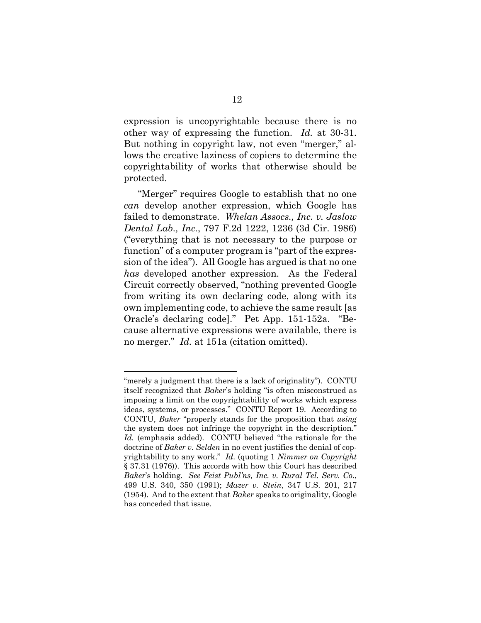expression is uncopyrightable because there is no other way of expressing the function. *Id.* at 30-31. But nothing in copyright law, not even "merger," allows the creative laziness of copiers to determine the copyrightability of works that otherwise should be protected.

"Merger" requires Google to establish that no one *can* develop another expression, which Google has failed to demonstrate. *Whelan Assocs., Inc. v. Jaslow Dental Lab., Inc.*, 797 F.2d 1222, 1236 (3d Cir. 1986) ("everything that is not necessary to the purpose or function" of a computer program is "part of the expression of the idea"). All Google has argued is that no one *has* developed another expression. As the Federal Circuit correctly observed, "nothing prevented Google from writing its own declaring code, along with its own implementing code, to achieve the same result [as Oracle's declaring code]." Pet App. 151-152a. "Because alternative expressions were available, there is no merger." *Id.* at 151a (citation omitted).

 $\overline{a}$ 

<sup>&</sup>quot;merely a judgment that there is a lack of originality"). CONTU itself recognized that *Baker*'s holding "is often misconstrued as imposing a limit on the copyrightability of works which express ideas, systems, or processes." CONTU Report 19. According to CONTU, *Baker* "properly stands for the proposition that *using* the system does not infringe the copyright in the description." *Id.* (emphasis added). CONTU believed "the rationale for the doctrine of *Baker v. Selden* in no event justifies the denial of copyrightability to any work." *Id.* (quoting 1 *Nimmer on Copyright* § 37.31 (1976)). This accords with how this Court has described *Baker*'s holding. *See Feist Publ'ns, Inc. v. Rural Tel. Serv. Co.*, 499 U.S. 340, 350 (1991); *Mazer v. Stein*, 347 U.S. 201, 217 (1954). And to the extent that *Baker* speaks to originality, Google has conceded that issue.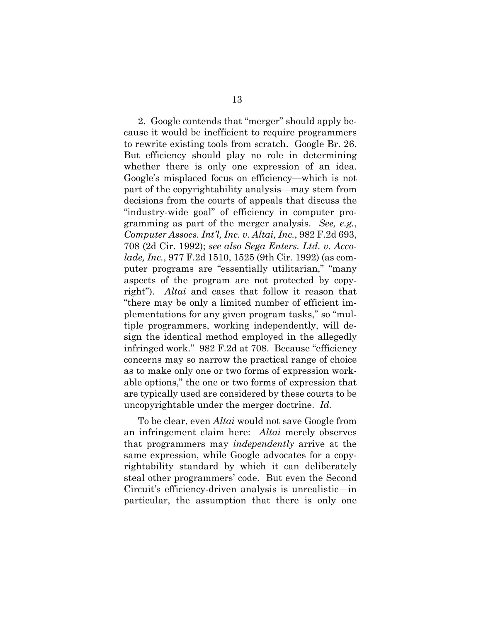2. Google contends that "merger" should apply because it would be inefficient to require programmers to rewrite existing tools from scratch. Google Br. 26. But efficiency should play no role in determining whether there is only one expression of an idea. Google's misplaced focus on efficiency—which is not part of the copyrightability analysis—may stem from decisions from the courts of appeals that discuss the "industry-wide goal" of efficiency in computer programming as part of the merger analysis. *See, e.g.*, *Computer Assocs. Int'l, Inc. v. Altai, Inc.*, 982 F.2d 693, 708 (2d Cir. 1992); *see also Sega Enters. Ltd. v. Accolade, Inc.*, 977 F.2d 1510, 1525 (9th Cir. 1992) (as computer programs are "essentially utilitarian," "many aspects of the program are not protected by copyright"). *Altai* and cases that follow it reason that "there may be only a limited number of efficient implementations for any given program tasks," so "multiple programmers, working independently, will design the identical method employed in the allegedly infringed work." 982 F.2d at 708. Because "efficiency concerns may so narrow the practical range of choice as to make only one or two forms of expression workable options," the one or two forms of expression that are typically used are considered by these courts to be uncopyrightable under the merger doctrine. *Id.* 

To be clear, even *Altai* would not save Google from an infringement claim here: *Altai* merely observes that programmers may *independently* arrive at the same expression, while Google advocates for a copyrightability standard by which it can deliberately steal other programmers' code. But even the Second Circuit's efficiency-driven analysis is unrealistic—in particular, the assumption that there is only one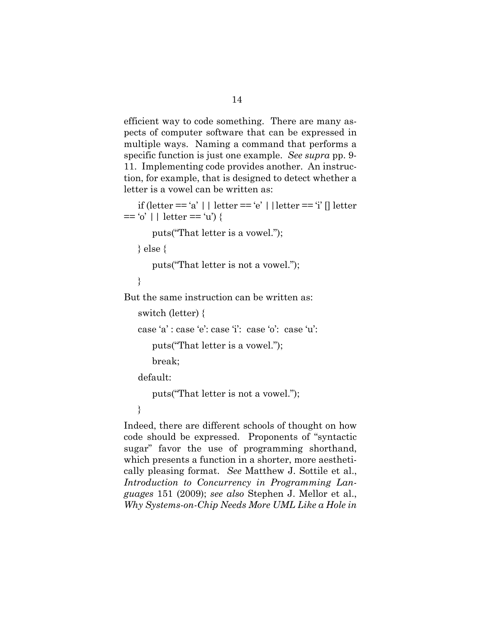efficient way to code something. There are many aspects of computer software that can be expressed in multiple ways. Naming a command that performs a specific function is just one example. *See supra* pp. 9- 11. Implementing code provides another. An instruction, for example, that is designed to detect whether a letter is a vowel can be written as:

```
if (letter == 'a' || letter == 'e' || letter == 'i' || letter
== 'o' || letter == 'u'} {
```
puts("That letter is a vowel.");

} else {

puts("That letter is not a vowel.");

}

But the same instruction can be written as:

```
switch (letter) {
```
case 'a' : case 'e': case 'i': case 'o': case 'u':

```
 puts("That letter is a vowel.");
```
break;

default:

puts("That letter is not a vowel.");

}

Indeed, there are different schools of thought on how code should be expressed. Proponents of "syntactic sugar" favor the use of programming shorthand, which presents a function in a shorter, more aesthetically pleasing format. *See* Matthew J. Sottile et al., *Introduction to Concurrency in Programming Languages* 151 (2009); *see also* Stephen J. Mellor et al., *Why Systems-on-Chip Needs More UML Like a Hole in*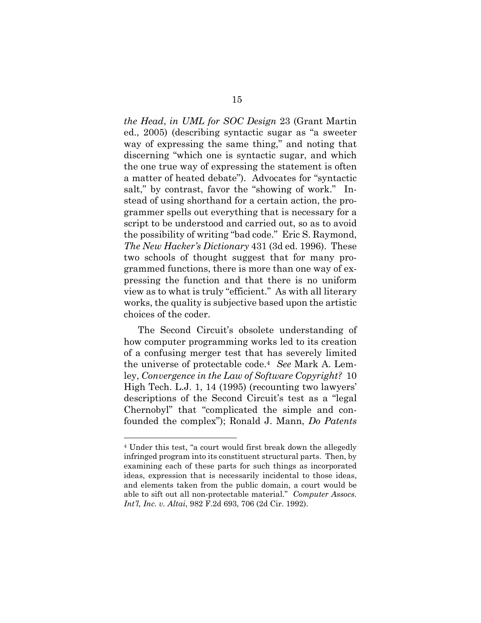*the Head*, *in UML for SOC Design* 23 (Grant Martin ed., 2005) (describing syntactic sugar as "a sweeter way of expressing the same thing," and noting that discerning "which one is syntactic sugar, and which the one true way of expressing the statement is often a matter of heated debate"). Advocates for "syntactic salt," by contrast, favor the "showing of work." Instead of using shorthand for a certain action, the programmer spells out everything that is necessary for a script to be understood and carried out, so as to avoid the possibility of writing "bad code." Eric S. Raymond, *The New Hacker's Dictionary* 431 (3d ed. 1996). These two schools of thought suggest that for many programmed functions, there is more than one way of expressing the function and that there is no uniform view as to what is truly "efficient." As with all literary works, the quality is subjective based upon the artistic choices of the coder.

The Second Circuit's obsolete understanding of how computer programming works led to its creation of a confusing merger test that has severely limited the universe of protectable code.4 *See* Mark A. Lemley, *Convergence in the Law of Software Copyright?* 10 High Tech. L.J. 1, 14 (1995) (recounting two lawyers' descriptions of the Second Circuit's test as a "legal Chernobyl" that "complicated the simple and confounded the complex"); Ronald J. Mann, *Do Patents* 

 $\overline{a}$ 

<sup>4</sup> Under this test, "a court would first break down the allegedly infringed program into its constituent structural parts. Then, by examining each of these parts for such things as incorporated ideas, expression that is necessarily incidental to those ideas, and elements taken from the public domain, a court would be able to sift out all non-protectable material." *Computer Assocs. Int'l, Inc. v. Altai*, 982 F.2d 693, 706 (2d Cir. 1992).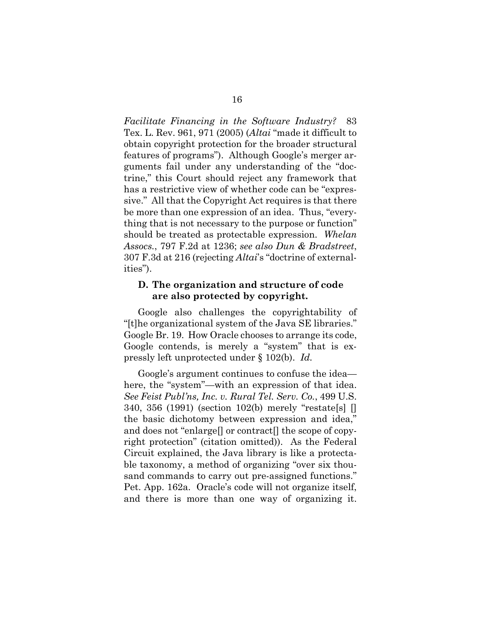*Facilitate Financing in the Software Industry?* 83 Tex. L. Rev. 961, 971 (2005) (*Altai* "made it difficult to obtain copyright protection for the broader structural features of programs"). Although Google's merger arguments fail under any understanding of the "doctrine," this Court should reject any framework that has a restrictive view of whether code can be "expressive." All that the Copyright Act requires is that there be more than one expression of an idea. Thus, "everything that is not necessary to the purpose or function" should be treated as protectable expression. *Whelan Assocs.*, 797 F.2d at 1236; *see also Dun & Bradstreet*, 307 F.3d at 216 (rejecting *Altai*'s "doctrine of externalities").

#### **D. The organization and structure of code are also protected by copyright.**

Google also challenges the copyrightability of "[t]he organizational system of the Java SE libraries." Google Br. 19. How Oracle chooses to arrange its code, Google contends, is merely a "system" that is expressly left unprotected under § 102(b). *Id.*

Google's argument continues to confuse the idea here, the "system"—with an expression of that idea. *See Feist Publ'ns, Inc. v. Rural Tel. Serv. Co.*, 499 U.S. 340, 356 (1991) (section 102(b) merely "restate[s] [] the basic dichotomy between expression and idea," and does not "enlarge<sup>[]</sup> or contract<sup>[]</sup> the scope of copyright protection" (citation omitted)). As the Federal Circuit explained, the Java library is like a protectable taxonomy, a method of organizing "over six thousand commands to carry out pre-assigned functions." Pet. App. 162a. Oracle's code will not organize itself, and there is more than one way of organizing it.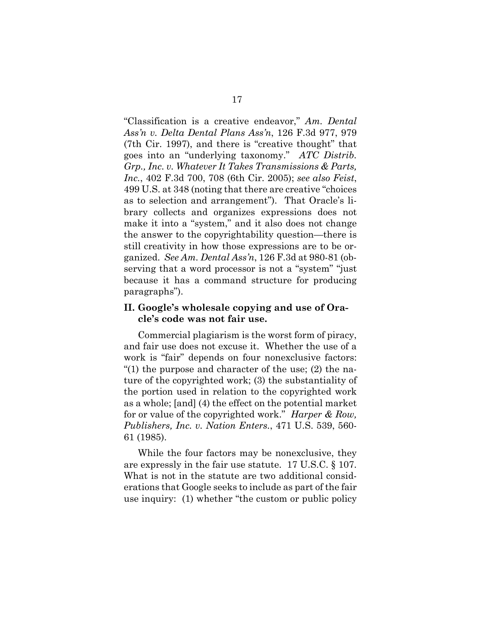"Classification is a creative endeavor," *Am. Dental Ass'n v. Delta Dental Plans Ass'n*, 126 F.3d 977, 979 (7th Cir. 1997), and there is "creative thought" that goes into an "underlying taxonomy." *ATC Distrib. Grp., Inc. v. Whatever It Takes Transmissions & Parts, Inc.*, 402 F.3d 700, 708 (6th Cir. 2005); *see also Feist*, 499 U.S. at 348 (noting that there are creative "choices as to selection and arrangement"). That Oracle's library collects and organizes expressions does not make it into a "system," and it also does not change the answer to the copyrightability question—there is still creativity in how those expressions are to be organized. *See Am. Dental Ass'n*, 126 F.3d at 980-81 (observing that a word processor is not a "system" "just because it has a command structure for producing paragraphs").

#### **II. Google's wholesale copying and use of Oracle's code was not fair use.**

Commercial plagiarism is the worst form of piracy, and fair use does not excuse it. Whether the use of a work is "fair" depends on four nonexclusive factors: "(1) the purpose and character of the use; (2) the nature of the copyrighted work; (3) the substantiality of the portion used in relation to the copyrighted work as a whole; [and] (4) the effect on the potential market for or value of the copyrighted work." *Harper & Row, Publishers, Inc. v. Nation Enters.*, 471 U.S. 539, 560- 61 (1985).

While the four factors may be nonexclusive, they are expressly in the fair use statute. 17 U.S.C. § 107. What is not in the statute are two additional considerations that Google seeks to include as part of the fair use inquiry: (1) whether "the custom or public policy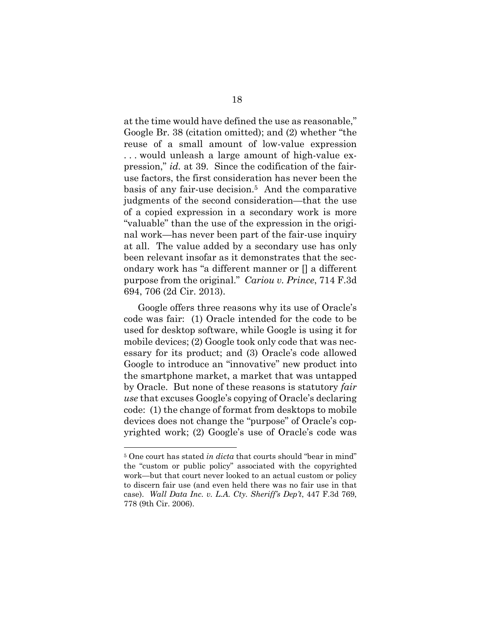at the time would have defined the use as reasonable," Google Br. 38 (citation omitted); and (2) whether "the reuse of a small amount of low-value expression . . . would unleash a large amount of high-value expression," *id.* at 39. Since the codification of the fairuse factors, the first consideration has never been the basis of any fair-use decision.5 And the comparative judgments of the second consideration—that the use of a copied expression in a secondary work is more "valuable" than the use of the expression in the original work—has never been part of the fair-use inquiry at all. The value added by a secondary use has only been relevant insofar as it demonstrates that the secondary work has "a different manner or [] a different purpose from the original." *Cariou v. Prince*, 714 F.3d 694, 706 (2d Cir. 2013).

Google offers three reasons why its use of Oracle's code was fair: (1) Oracle intended for the code to be used for desktop software, while Google is using it for mobile devices; (2) Google took only code that was necessary for its product; and (3) Oracle's code allowed Google to introduce an "innovative" new product into the smartphone market, a market that was untapped by Oracle. But none of these reasons is statutory *fair use* that excuses Google's copying of Oracle's declaring code: (1) the change of format from desktops to mobile devices does not change the "purpose" of Oracle's copyrighted work; (2) Google's use of Oracle's code was

 $\overline{a}$ 

<sup>5</sup> One court has stated *in dicta* that courts should "bear in mind" the "custom or public policy" associated with the copyrighted work—but that court never looked to an actual custom or policy to discern fair use (and even held there was no fair use in that case). *Wall Data Inc. v. L.A. Cty. Sheriff's Dep't*, 447 F.3d 769, 778 (9th Cir. 2006).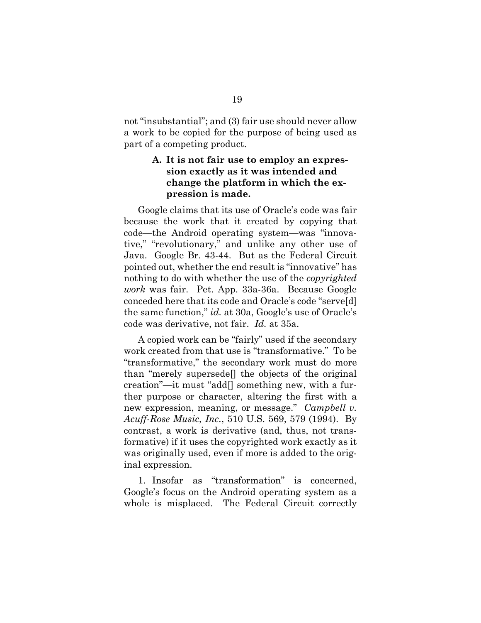not "insubstantial"; and (3) fair use should never allow a work to be copied for the purpose of being used as part of a competing product.

### **A. It is not fair use to employ an expression exactly as it was intended and change the platform in which the expression is made.**

Google claims that its use of Oracle's code was fair because the work that it created by copying that code—the Android operating system—was "innovative," "revolutionary," and unlike any other use of Java. Google Br. 43-44. But as the Federal Circuit pointed out, whether the end result is "innovative" has nothing to do with whether the use of the *copyrighted work* was fair. Pet. App. 33a-36a. Because Google conceded here that its code and Oracle's code "serve[d] the same function," *id.* at 30a, Google's use of Oracle's code was derivative, not fair. *Id.* at 35a.

A copied work can be "fairly" used if the secondary work created from that use is "transformative." To be "transformative," the secondary work must do more than "merely supersede[] the objects of the original creation"—it must "add[] something new, with a further purpose or character, altering the first with a new expression, meaning, or message." *Campbell v. Acuff-Rose Music, Inc.*, 510 U.S. 569, 579 (1994). By contrast, a work is derivative (and, thus, not transformative) if it uses the copyrighted work exactly as it was originally used, even if more is added to the original expression.

1. Insofar as "transformation" is concerned, Google's focus on the Android operating system as a whole is misplaced. The Federal Circuit correctly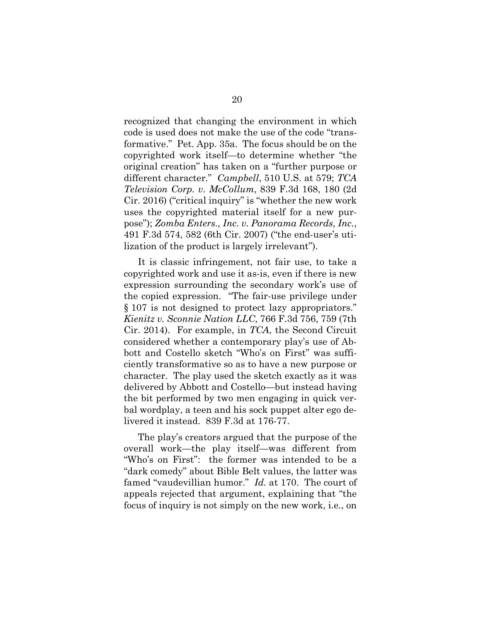recognized that changing the environment in which code is used does not make the use of the code "transformative." Pet. App. 35a. The focus should be on the copyrighted work itself—to determine whether "the original creation" has taken on a "further purpose or different character." *Campbell*, 510 U.S. at 579; *TCA Television Corp. v. McCollum*, 839 F.3d 168, 180 (2d Cir. 2016) ("critical inquiry" is "whether the new work uses the copyrighted material itself for a new purpose"); *Zomba Enters., Inc. v. Panorama Records, Inc.*, 491 F.3d 574, 582 (6th Cir. 2007) ("the end-user's utilization of the product is largely irrelevant").

It is classic infringement, not fair use, to take a copyrighted work and use it as-is, even if there is new expression surrounding the secondary work's use of the copied expression. "The fair-use privilege under § 107 is not designed to protect lazy appropriators." *Kienitz v. Sconnie Nation LLC*, 766 F.3d 756, 759 (7th Cir. 2014).For example, in *TCA*, the Second Circuit considered whether a contemporary play's use of Abbott and Costello sketch "Who's on First" was sufficiently transformative so as to have a new purpose or character. The play used the sketch exactly as it was delivered by Abbott and Costello—but instead having the bit performed by two men engaging in quick verbal wordplay, a teen and his sock puppet alter ego delivered it instead. 839 F.3d at 176-77.

The play's creators argued that the purpose of the overall work—the play itself—was different from "Who's on First": the former was intended to be a "dark comedy" about Bible Belt values, the latter was famed "vaudevillian humor." *Id.* at 170. The court of appeals rejected that argument, explaining that "the focus of inquiry is not simply on the new work, i.e., on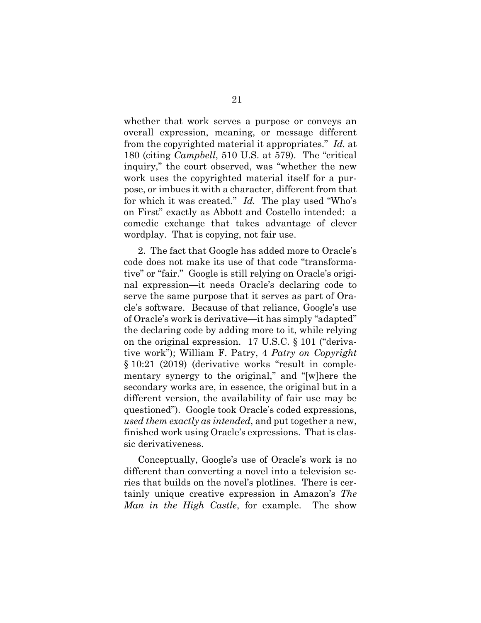whether that work serves a purpose or conveys an overall expression, meaning, or message different from the copyrighted material it appropriates." *Id.* at 180 (citing *Campbell*, 510 U.S. at 579). The "critical inquiry," the court observed, was "whether the new work uses the copyrighted material itself for a purpose, or imbues it with a character, different from that for which it was created." *Id.* The play used "Who's on First" exactly as Abbott and Costello intended: a comedic exchange that takes advantage of clever wordplay. That is copying, not fair use.

2. The fact that Google has added more to Oracle's code does not make its use of that code "transformative" or "fair." Google is still relying on Oracle's original expression—it needs Oracle's declaring code to serve the same purpose that it serves as part of Oracle's software. Because of that reliance, Google's use of Oracle's work is derivative—it has simply "adapted" the declaring code by adding more to it, while relying on the original expression. 17 U.S.C. § 101 ("derivative work"); William F. Patry, 4 *Patry on Copyright* § 10:21 (2019) (derivative works "result in complementary synergy to the original," and "[w]here the secondary works are, in essence, the original but in a different version, the availability of fair use may be questioned"). Google took Oracle's coded expressions, *used them exactly as intended*, and put together a new, finished work using Oracle's expressions. That is classic derivativeness.

Conceptually, Google's use of Oracle's work is no different than converting a novel into a television series that builds on the novel's plotlines. There is certainly unique creative expression in Amazon's *The Man in the High Castle*, for example. The show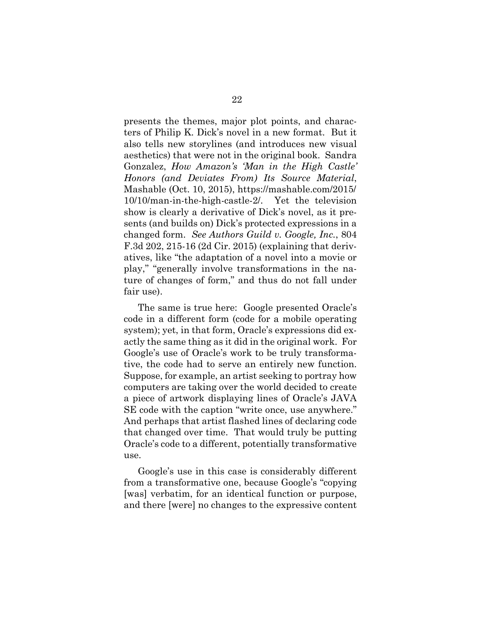presents the themes, major plot points, and characters of Philip K. Dick's novel in a new format. But it also tells new storylines (and introduces new visual aesthetics) that were not in the original book. Sandra Gonzalez, *How Amazon's 'Man in the High Castle' Honors (and Deviates From) Its Source Material*, Mashable (Oct. 10, 2015), https://mashable.com/2015/ 10/10/man-in-the-high-castle-2/. Yet the television show is clearly a derivative of Dick's novel, as it presents (and builds on) Dick's protected expressions in a changed form. *See Authors Guild v. Google, Inc.*, 804 F.3d 202, 215-16 (2d Cir. 2015) (explaining that derivatives, like "the adaptation of a novel into a movie or play," "generally involve transformations in the nature of changes of form," and thus do not fall under fair use).

The same is true here: Google presented Oracle's code in a different form (code for a mobile operating system); yet, in that form, Oracle's expressions did exactly the same thing as it did in the original work. For Google's use of Oracle's work to be truly transformative, the code had to serve an entirely new function. Suppose, for example, an artist seeking to portray how computers are taking over the world decided to create a piece of artwork displaying lines of Oracle's JAVA SE code with the caption "write once, use anywhere." And perhaps that artist flashed lines of declaring code that changed over time. That would truly be putting Oracle's code to a different, potentially transformative use.

Google's use in this case is considerably different from a transformative one, because Google's "copying [was] verbatim, for an identical function or purpose, and there [were] no changes to the expressive content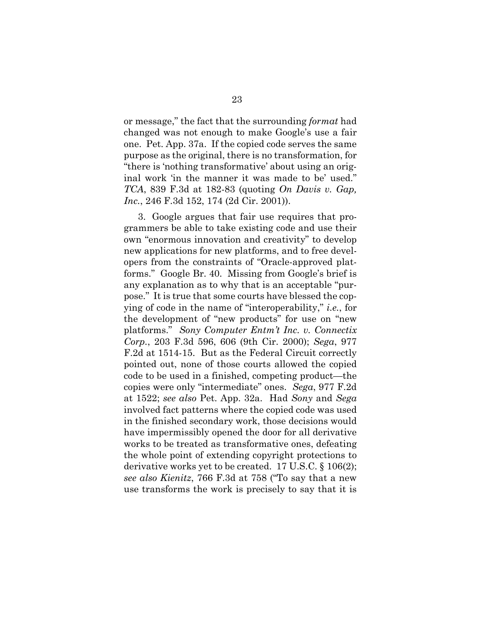or message," the fact that the surrounding *format* had changed was not enough to make Google's use a fair one. Pet. App. 37a. If the copied code serves the same purpose as the original, there is no transformation, for "there is 'nothing transformative' about using an original work 'in the manner it was made to be' used." *TCA*, 839 F.3d at 182-83 (quoting *On Davis v. Gap, Inc.*, 246 F.3d 152, 174 (2d Cir. 2001)).

3. Google argues that fair use requires that programmers be able to take existing code and use their own "enormous innovation and creativity" to develop new applications for new platforms, and to free developers from the constraints of "Oracle-approved platforms." Google Br. 40. Missing from Google's brief is any explanation as to why that is an acceptable "purpose." It is true that some courts have blessed the copying of code in the name of "interoperability," *i.e.*, for the development of "new products" for use on "new platforms." *Sony Computer Entm't Inc. v. Connectix Corp.*, 203 F.3d 596, 606 (9th Cir. 2000); *Sega*, 977 F.2d at 1514-15. But as the Federal Circuit correctly pointed out, none of those courts allowed the copied code to be used in a finished, competing product—the copies were only "intermediate" ones. *Sega*, 977 F.2d at 1522; *see also* Pet. App. 32a. Had *Sony* and *Sega*  involved fact patterns where the copied code was used in the finished secondary work, those decisions would have impermissibly opened the door for all derivative works to be treated as transformative ones, defeating the whole point of extending copyright protections to derivative works yet to be created. 17 U.S.C. § 106(2); *see also Kienitz*, 766 F.3d at 758 ("To say that a new use transforms the work is precisely to say that it is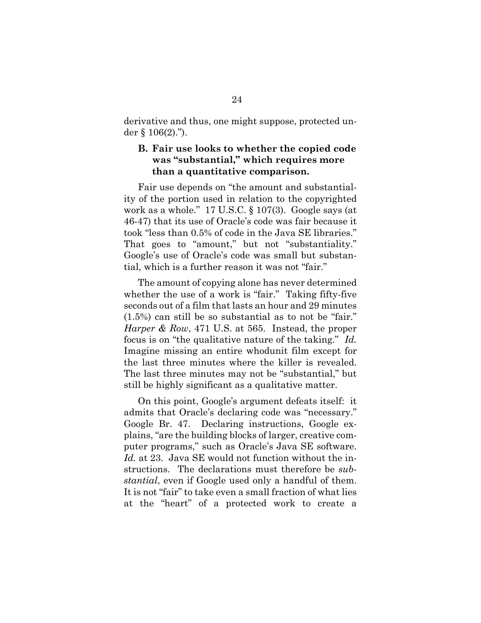derivative and thus, one might suppose, protected under  $\S 106(2)$ .").

### **B. Fair use looks to whether the copied code was "substantial," which requires more than a quantitative comparison.**

Fair use depends on "the amount and substantiality of the portion used in relation to the copyrighted work as a whole." 17 U.S.C. § 107(3). Google says (at 46-47) that its use of Oracle's code was fair because it took "less than 0.5% of code in the Java SE libraries." That goes to "amount," but not "substantiality." Google's use of Oracle's code was small but substantial, which is a further reason it was not "fair."

The amount of copying alone has never determined whether the use of a work is "fair." Taking fifty-five seconds out of a film that lasts an hour and 29 minutes (1.5%) can still be so substantial as to not be "fair." *Harper & Row*, 471 U.S. at 565. Instead, the proper focus is on "the qualitative nature of the taking." *Id.* Imagine missing an entire whodunit film except for the last three minutes where the killer is revealed. The last three minutes may not be "substantial," but still be highly significant as a qualitative matter.

On this point, Google's argument defeats itself: it admits that Oracle's declaring code was "necessary." Google Br. 47. Declaring instructions, Google explains, "are the building blocks of larger, creative computer programs," such as Oracle's Java SE software. *Id.* at 23. Java SE would not function without the instructions. The declarations must therefore be *substantial*, even if Google used only a handful of them. It is not "fair" to take even a small fraction of what lies at the "heart" of a protected work to create a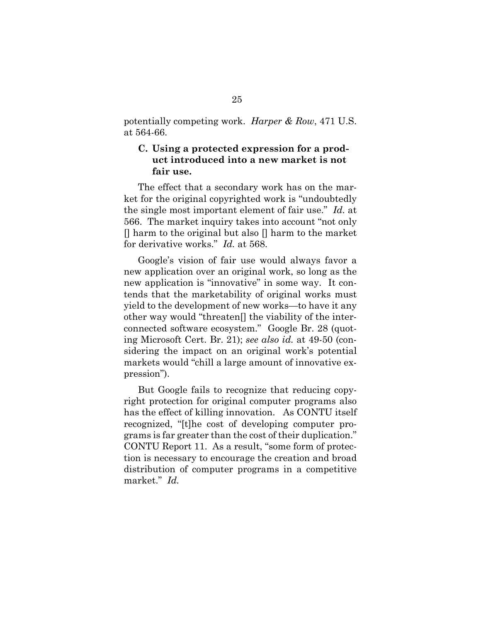potentially competing work. *Harper & Row*, 471 U.S. at 564-66.

### **C. Using a protected expression for a product introduced into a new market is not fair use.**

The effect that a secondary work has on the market for the original copyrighted work is "undoubtedly the single most important element of fair use." *Id.* at 566. The market inquiry takes into account "not only  $\Box$  harm to the original but also  $\Box$  harm to the market for derivative works." *Id.* at 568.

Google's vision of fair use would always favor a new application over an original work, so long as the new application is "innovative" in some way. It contends that the marketability of original works must yield to the development of new works—to have it any other way would "threaten[] the viability of the interconnected software ecosystem." Google Br. 28 (quoting Microsoft Cert. Br. 21); *see also id.* at 49-50 (considering the impact on an original work's potential markets would "chill a large amount of innovative expression").

But Google fails to recognize that reducing copyright protection for original computer programs also has the effect of killing innovation. As CONTU itself recognized, "[t]he cost of developing computer programs is far greater than the cost of their duplication." CONTU Report 11. As a result, "some form of protection is necessary to encourage the creation and broad distribution of computer programs in a competitive market." *Id.*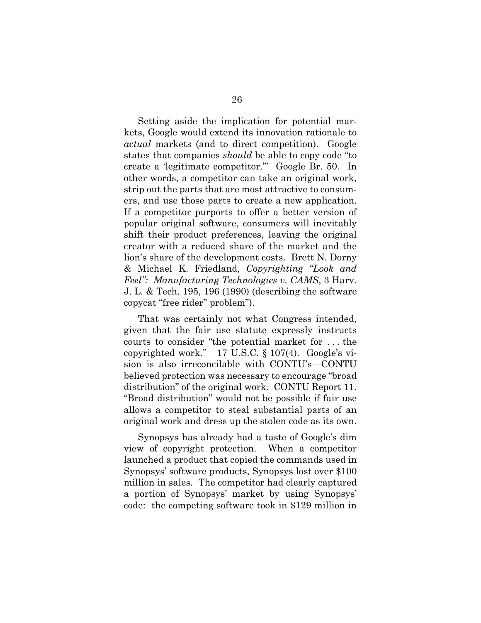Setting aside the implication for potential markets, Google would extend its innovation rationale to *actual* markets (and to direct competition). Google states that companies *should* be able to copy code "to create a 'legitimate competitor.'" Google Br. 50. In other words, a competitor can take an original work, strip out the parts that are most attractive to consumers, and use those parts to create a new application. If a competitor purports to offer a better version of popular original software, consumers will inevitably shift their product preferences, leaving the original creator with a reduced share of the market and the lion's share of the development costs. Brett N. Dorny & Michael K. Friedland, *Copyrighting "Look and Feel": Manufacturing Technologies v. CAMS*, 3 Harv. J. L. & Tech. 195, 196 (1990) (describing the software copycat "free rider" problem").

That was certainly not what Congress intended, given that the fair use statute expressly instructs courts to consider "the potential market for . . . the copyrighted work." 17 U.S.C. § 107(4). Google's vision is also irreconcilable with CONTU's—CONTU believed protection was necessary to encourage "broad distribution" of the original work. CONTU Report 11. "Broad distribution" would not be possible if fair use allows a competitor to steal substantial parts of an original work and dress up the stolen code as its own.

Synopsys has already had a taste of Google's dim view of copyright protection. When a competitor launched a product that copied the commands used in Synopsys' software products, Synopsys lost over \$100 million in sales. The competitor had clearly captured a portion of Synopsys' market by using Synopsys' code: the competing software took in \$129 million in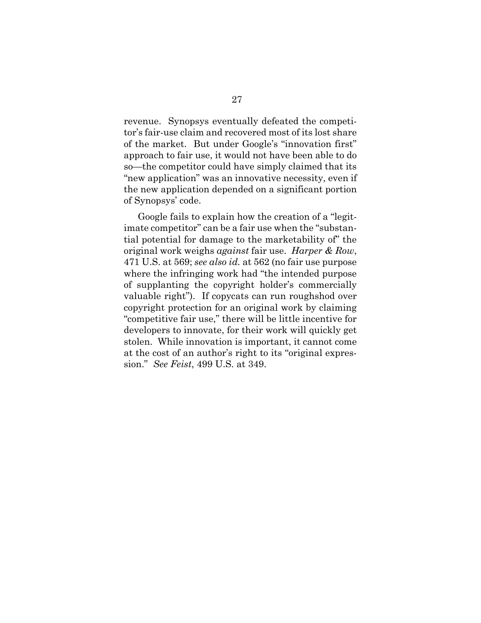revenue. Synopsys eventually defeated the competitor's fair-use claim and recovered most of its lost share of the market. But under Google's "innovation first" approach to fair use, it would not have been able to do so—the competitor could have simply claimed that its "new application" was an innovative necessity, even if the new application depended on a significant portion of Synopsys' code.

Google fails to explain how the creation of a "legitimate competitor" can be a fair use when the "substantial potential for damage to the marketability of" the original work weighs *against* fair use. *Harper & Row*, 471 U.S. at 569; *see also id.* at 562 (no fair use purpose where the infringing work had "the intended purpose of supplanting the copyright holder's commercially valuable right"). If copycats can run roughshod over copyright protection for an original work by claiming "competitive fair use," there will be little incentive for developers to innovate, for their work will quickly get stolen. While innovation is important, it cannot come at the cost of an author's right to its "original expression." *See Feist*, 499 U.S. at 349.